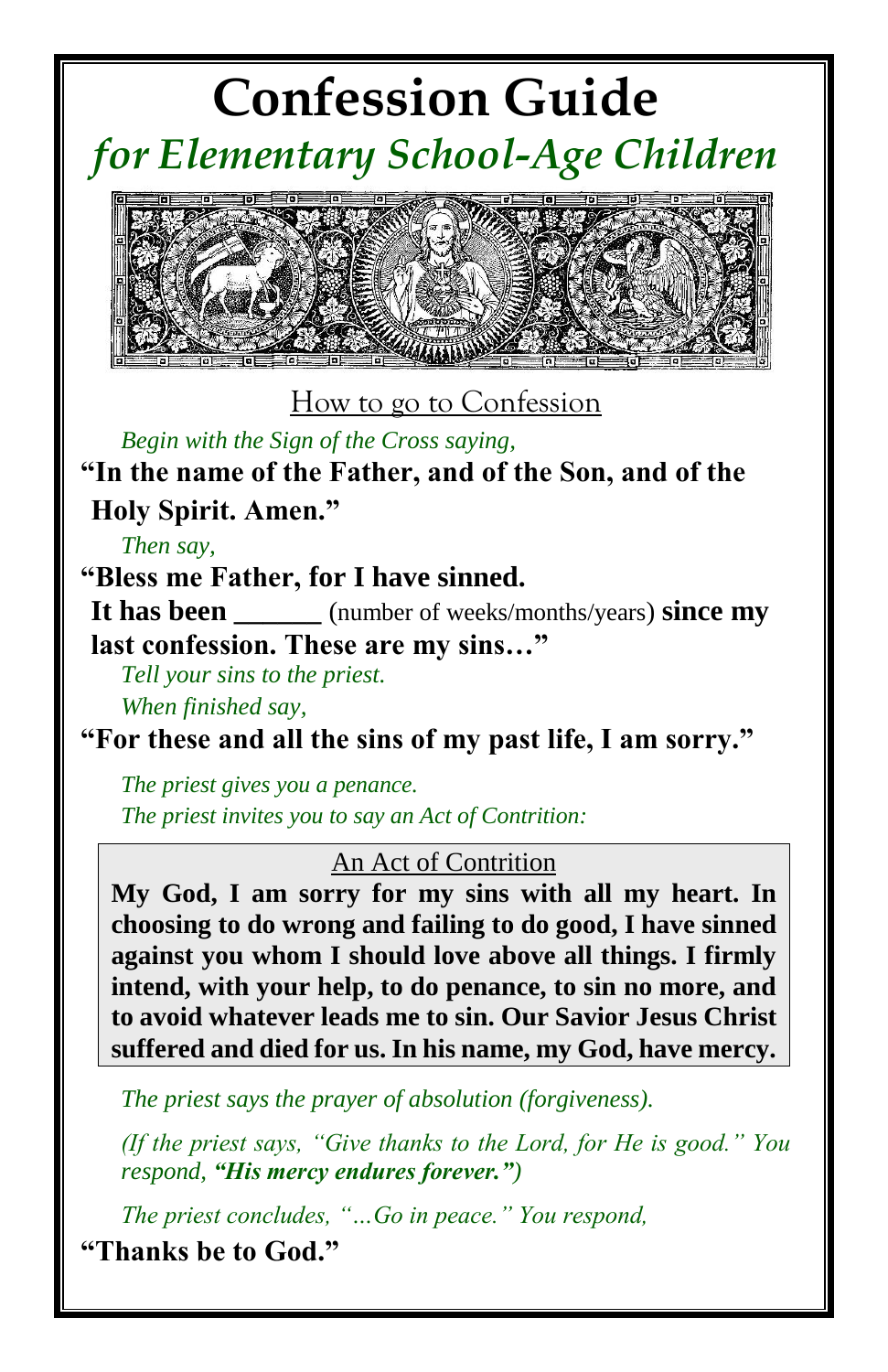# **Confession Guide**  *for Elementary School-Age Children*



#### How to go to Confession

*Begin with the Sign of the Cross saying,* 

**"In the name of the Father, and of the Son, and of the Holy Spirit. Amen."**

*Then say,*

**"Bless me Father, for I have sinned.** 

**It has been** (number of weeks/months/years) **since my last confession. These are my sins…"**

*Tell your sins to the priest.*

*When finished say,* 

**"For these and all the sins of my past life, I am sorry."**

*The priest gives you a penance. The priest invites you to say an Act of Contrition:*

#### An Act of Contrition

**My God, I am sorry for my sins with all my heart. In choosing to do wrong and failing to do good, I have sinned against you whom I should love above all things. I firmly intend, with your help, to do penance, to sin no more, and to avoid whatever leads me to sin. Our Savior Jesus Christ suffered and died for us. In his name, my God, have mercy.**

*The priest says the prayer of absolution (forgiveness).*

*(If the priest says, "Give thanks to the Lord, for He is good." You respond, "His mercy endures forever.")*

*The priest concludes, "…Go in peace." You respond,* 

**"Thanks be to God."**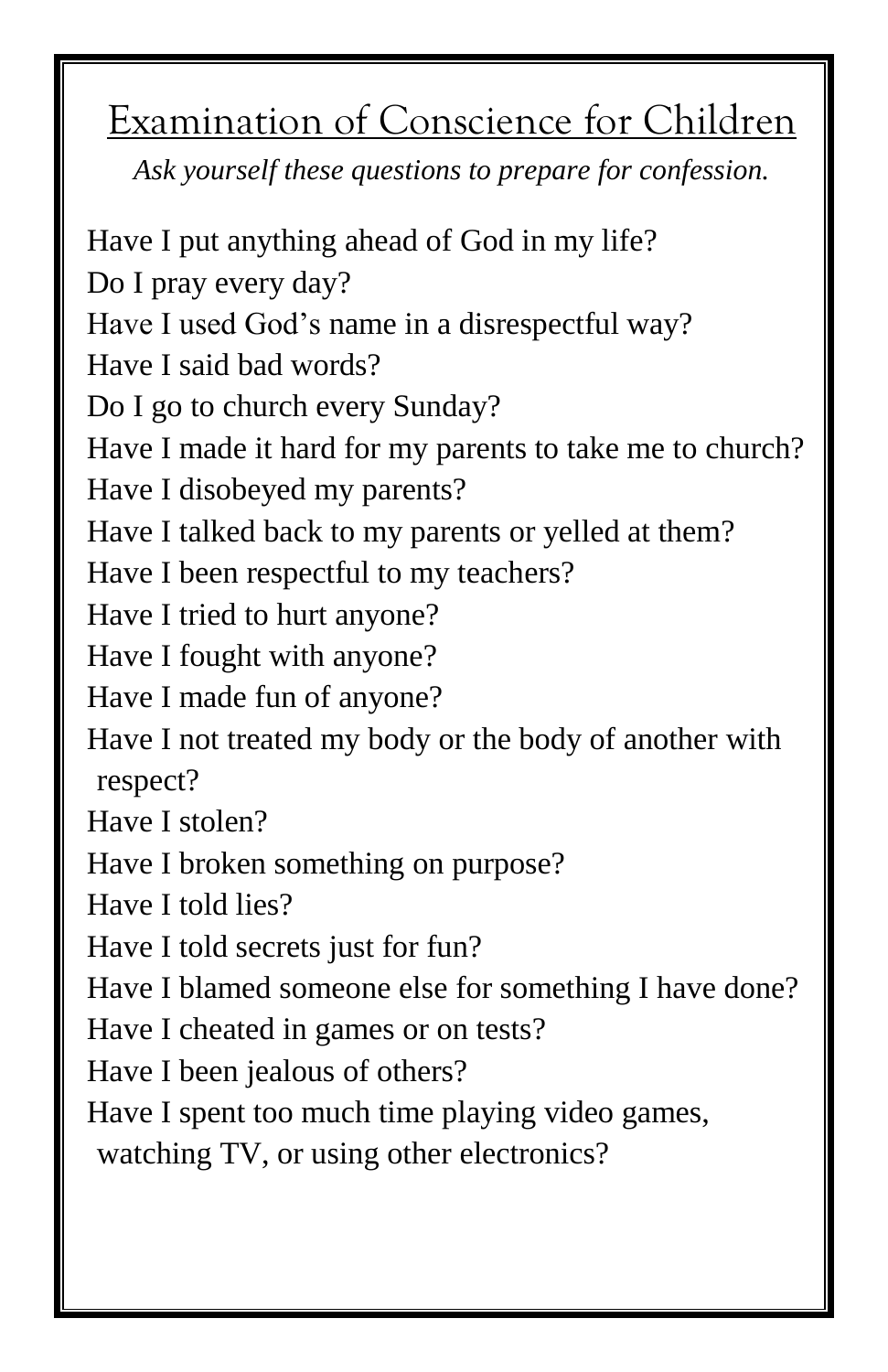## Examination of Conscience for Children

*Ask yourself these questions to prepare for confession.*

Have I put anything ahead of God in my life? Do I pray every day? Have I used God's name in a disrespectful way? Have I said bad words? Do I go to church every Sunday? Have I made it hard for my parents to take me to church? Have I disobeyed my parents? Have I talked back to my parents or yelled at them? Have I been respectful to my teachers? Have I tried to hurt anyone? Have I fought with anyone? Have I made fun of anyone? Have I not treated my body or the body of another with respect? Have I stolen? Have I broken something on purpose? Have I told lies? Have I told secrets just for fun? Have I blamed someone else for something I have done? Have I cheated in games or on tests? Have I been jealous of others? Have I spent too much time playing video games, watching TV, or using other electronics?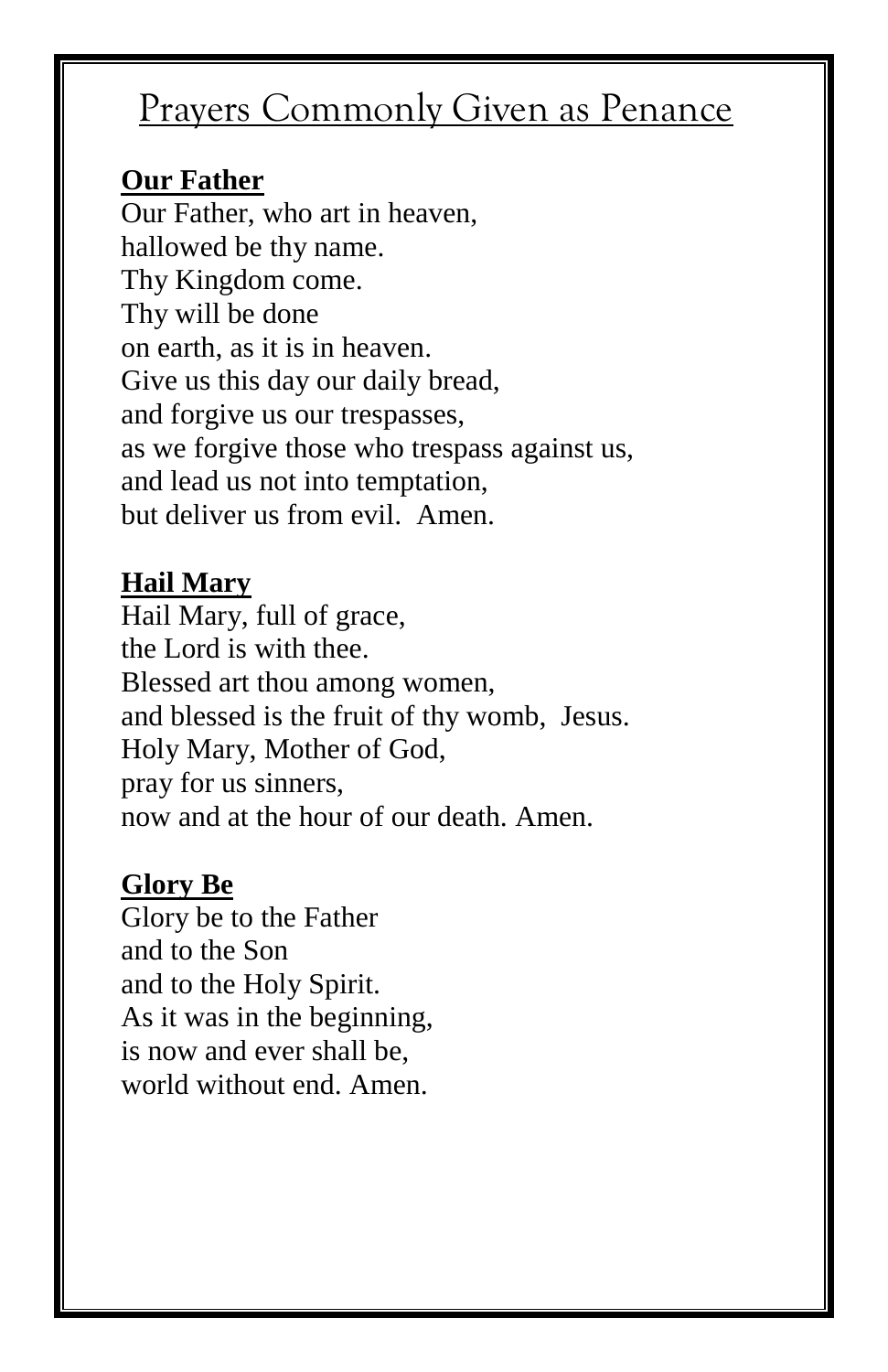### Prayers Commonly Given as Penance

#### **Our Father**

Our Father, who art in heaven, hallowed be thy name. Thy Kingdom come. Thy will be done on earth, as it is in heaven. Give us this day our daily bread, and forgive us our trespasses, as we forgive those who trespass against us, and lead us not into temptation, but deliver us from evil. Amen.

### **Hail Mary**

Hail Mary, full of grace, the Lord is with thee. Blessed art thou among women, and blessed is the fruit of thy womb, Jesus. Holy Mary, Mother of God, pray for us sinners, now and at the hour of our death. Amen.

#### **Glory Be**

Glory be to the Father and to the Son and to the Holy Spirit. As it was in the beginning, is now and ever shall be, world without end. Amen.